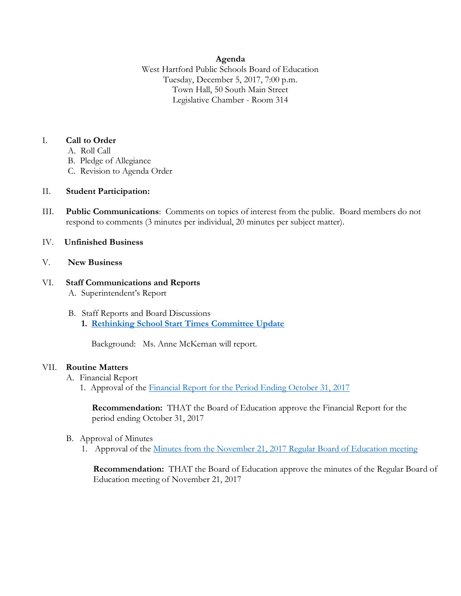## **Agenda**

West Hartford Public Schools Board of Education Tuesday, December 5, 2017, 7:00 p.m. Town Hall, 50 South Main Street Legislative Chamber - Room 314

## I. **Call to Order**

- A. Roll Call
- B. Pledge of Allegiance
- C. Revision to Agenda Order

## II. **Student Participation:**

III. **Public Communications**: Comments on topics of interest from the public. Board members do not respond to comments (3 minutes per individual, 20 minutes per subject matter).

## IV. **Unfinished Business**

### V. **New Business**

## VI. **Staff Communications and Reports** A. Superintendent's Report

B. Staff Reports and Board Discussions **1. [Rethinking School Start Times Committee Update](https://www.whps.org/uploaded/BOE/BOE_Documents/20171205/revised_school_start_time_committee_update.pdf?1512077316440)**

Background: Ms. Anne McKernan will report.

#### VII. **Routine Matters**

- A. Financial Report
	- 1. Approval of the [Financial Report for the Period Ending October 31, 2017](https://www.whps.org/uploaded/BOE/BOE_Documents/20171205/Financial_Report_-_October_31,_2017.pdf?1512077350903)

**Recommendation:** THAT the Board of Education approve the Financial Report for the period ending October 31, 2017

- B. Approval of Minutes
	- 1. Approval of the [Minutes from the November 21, 2017 Regular Board of Education meeting](https://www.whps.org/uploaded/BOE/BOE_Documents/20171205/minutes_from_Nov._21,_2017_updated.pdf?1512420620730)

**Recommendation:** THAT the Board of Education approve the minutes of the Regular Board of Education meeting of November 21, 2017